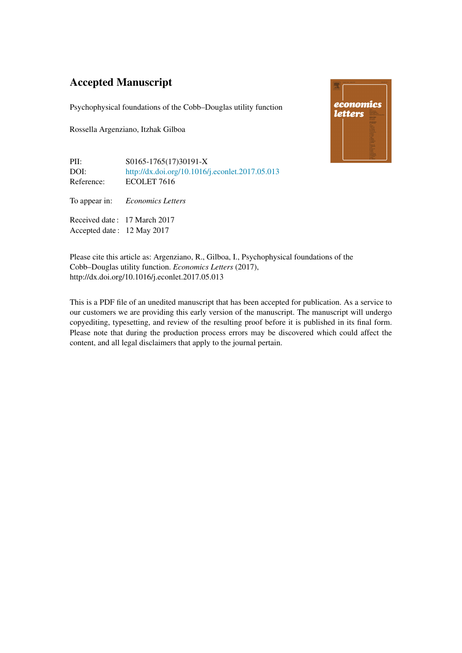## Accepted Manuscript

Psychophysical foundations of the Cobb–Douglas utility function

Rossella Argenziano, Itzhak Gilboa



PII: S0165-1765(17)30191-X DOI: <http://dx.doi.org/10.1016/j.econlet.2017.05.013> Reference: ECOLET 7616

To appear in: *Economics Letters*

Received date : 17 March 2017 Accepted date : 12 May 2017

Please cite this article as: Argenziano, R., Gilboa, I., Psychophysical foundations of the Cobb–Douglas utility function. *Economics Letters* (2017), http://dx.doi.org/10.1016/j.econlet.2017.05.013

This is a PDF file of an unedited manuscript that has been accepted for publication. As a service to our customers we are providing this early version of the manuscript. The manuscript will undergo copyediting, typesetting, and review of the resulting proof before it is published in its final form. Please note that during the production process errors may be discovered which could affect the content, and all legal disclaimers that apply to the journal pertain.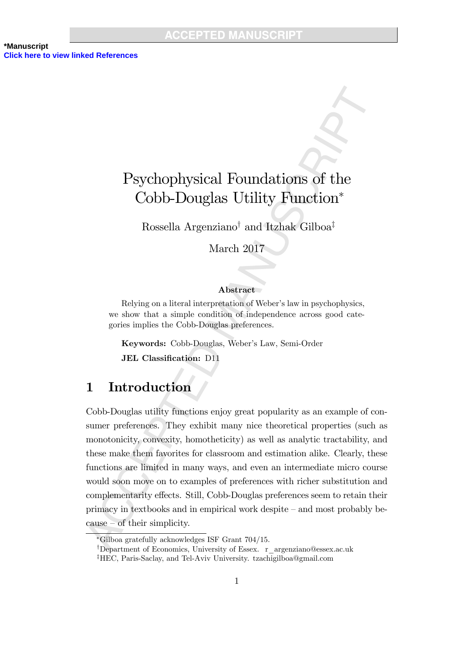

Rossella Argenziano<sup>†</sup> and Itzhak Gilboa<sup>‡</sup>

March 2017

#### Abstract

Relying on a literal interpretation of Weber's law in psychophysics, we show that a simple condition of independence across good categories implies the Cobb-Douglas preferences.

Keywords: Cobb-Douglas, Weber's Law, Semi-Order JEL Classification: D11

## 1 Introduction

Cobb-Douglas utility functions enjoy great popularity as an example of consumer preferences. They exhibit many nice theoretical properties (such as monotonicity, convexity, homotheticity) as well as analytic tractability, and these make them favorites for classroom and estimation alike. Clearly, these functions are limited in many ways, and even an intermediate micro course would soon move on to examples of preferences with richer substitution and complementarity effects. Still, Cobb-Douglas preferences seem to retain their  $\gamma$  primacy in textbooks and in empirical work despite  $\gamma$  and most probably be $cause - of their simplicity.$ 

Gilboa gratefully acknowledges ISF Grant 704/15.

<sup>&</sup>lt;sup>†</sup>Department of Economics, University of Essex. r\_argenziano@essex.ac.uk

<sup>&</sup>lt;sup>‡</sup>HEC, Paris-Saclay, and Tel-Aviv University. tzachigilboa@gmail.com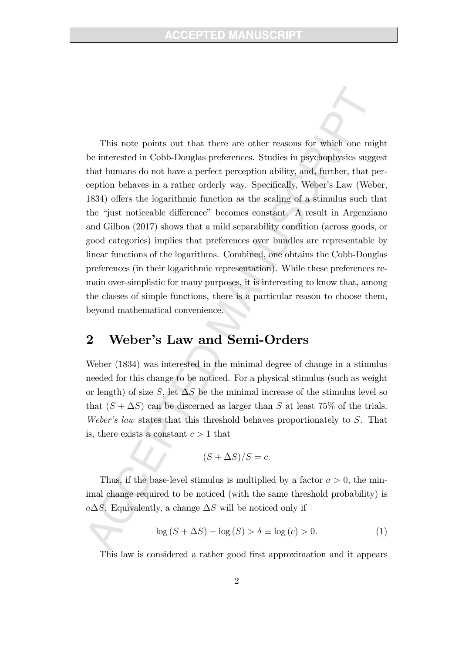This note points out that there are other reasons for which one might be interested in Cobb-Douglas preferences. Studies in psychophysics suggest that humans do not have a perfect perception ability, and, further, that perception behaves in a rather orderly way. Specifically, Weber's Law (Weber, 1834) offers the logarithmic function as the scaling of a stimulus such that the "just noticeable difference" becomes constant. A result in Argenziano and Gilboa (2017) shows that a mild separability condition (across goods, or good categories) implies that preferences over bundles are representable by linear functions of the logarithms. Combined, one obtains the Cobb-Douglas preferences (in their logarithmic representation). While these preferences remain over-simplistic for many purposes, it is interesting to know that, among the classes of simple functions, there is a particular reason to choose them, beyond mathematical convenience.

# 2 Weber's Law and Semi-Orders

Weber (1834) was interested in the minimal degree of change in a stimulus needed for this change to be noticed. For a physical stimulus (such as weight or length) of size S, let  $\Delta S$  be the minimal increase of the stimulus level so that  $(S + \Delta S)$  can be discerned as larger than S at least 75% of the trials. Weber's law states that this threshold behaves proportionately to  $S$ . That is, there exists a constant  $c > 1$  that

$$
(S + \Delta S)/S = c.
$$

Thus, if the base-level stimulus is multiplied by a factor  $a > 0$ , the minimal change required to be noticed (with the same threshold probability) is  $a\Delta S$ . Equivalently, a change  $\Delta S$  will be noticed only if

$$
\log (S + \Delta S) - \log (S) > \delta \equiv \log (c) > 0.
$$
 (1)

This law is considered a rather good first approximation and it appears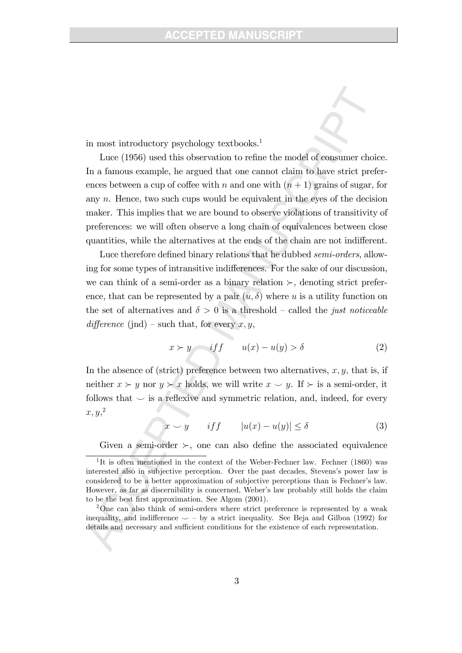in most introductory psychology textbooks.<sup>1</sup>

Luce (1956) used this observation to refine the model of consumer choice. In a famous example, he argued that one cannot claim to have strict preferences between a cup of coffee with n and one with  $(n + 1)$  grains of sugar, for any  $n$ . Hence, two such cups would be equivalent in the eyes of the decision maker. This implies that we are bound to observe violations of transitivity of preferences: we will often observe a long chain of equivalences between close quantities, while the alternatives at the ends of the chain are not indifferent.

Luce therefore defined binary relations that he dubbed semi-orders, allowing for some types of intransitive indifferences. For the sake of our discussion, we can think of a semi-order as a binary relation  $\succ$ , denoting strict preference, that can be represented by a pair  $(u, \delta)$  where u is a utility function on the set of alternatives and  $\delta > 0$  is a threshold – called the *just noticeable* difference (jnd) – such that, for every  $x, y$ ,

$$
x \succ y \qquad \text{if } f \qquad u(x) - u(y) > \delta \tag{2}
$$

In the absence of (strict) preference between two alternatives,  $x, y$ , that is, if neither  $x \succ y$  nor  $y \succ x$  holds, we will write  $x \smile y$ . If  $\succ$  is a semi-order, it follows that  $\smile$  is a reflexive and symmetric relation, and, indeed, for every  $x, y,^2$ 

 $x \smile y$  if  $|u(x) - u(y)| \le \delta$  (3)

Given a semi-order  $\succ$ , one can also define the associated equivalence

<sup>&</sup>lt;sup>1</sup>It is often mentioned in the context of the Weber-Fechner law. Fechner (1860) was interested also in subjective perception. Over the past decades, Stevens's power law is considered to be a better approximation of subjective perceptions than is Fechnerís law. However, as far as discernibility is concerned, Weber's law probably still holds the claim to be the best Örst approximation. See Algom (2001).

<sup>&</sup>lt;sup>2</sup>One can also think of semi-orders where strict preference is represented by a weak inequality, and indifference  $\smile$  – by a strict inequality. See Beja and Gilboa (1992) for details and necessary and sufficient conditions for the existence of each representation.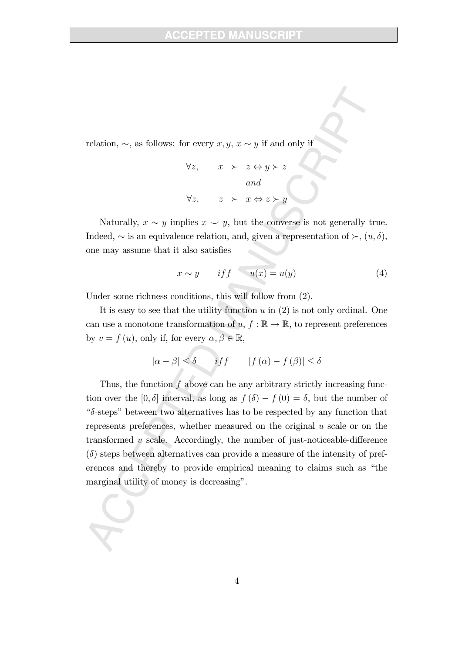### TED MANII

relation,  $\sim$ , as follows: for every  $x, y, x \sim y$  if and only if

$$
\forall z, \quad x \succ z \Leftrightarrow y \succ z
$$
  
and  

$$
\forall z, \quad z \succ x \Leftrightarrow z \succ y
$$

Naturally,  $x \sim y$  implies  $x \sim y$ , but the converse is not generally true. Indeed,  $\sim$  is an equivalence relation, and, given a representation of  $\succ$ ,  $(u, \delta)$ , one may assume that it also satisfies

$$
x \sim y \qquad \text{if } f \qquad u(x) = u(y) \tag{4}
$$

Under some richness conditions, this will follow from (2).

It is easy to see that the utility function  $u$  in  $(2)$  is not only ordinal. One can use a monotone transformation of  $u, f : \mathbb{R} \to \mathbb{R}$ , to represent preferences by  $v = f(u)$ , only if, for every  $\alpha, \beta \in \mathbb{R}$ ,

$$
|\alpha - \beta| \le \delta \qquad \text{iff} \qquad |f(\alpha) - f(\beta)| \le \delta
$$

Thus, the function  $f$  above can be any arbitrary strictly increasing function over the  $[0, \delta]$  interval, as long as  $f(\delta) - f(0) = \delta$ , but the number of " $\delta$ -steps" between two alternatives has to be respected by any function that represents preferences, whether measured on the original u scale or on the transformed  $v$  scale. Accordingly, the number of just-noticeable-difference  $(\delta)$  steps between alternatives can provide a measure of the intensity of preferences and thereby to provide empirical meaning to claims such as "the marginal utility of money is decreasing".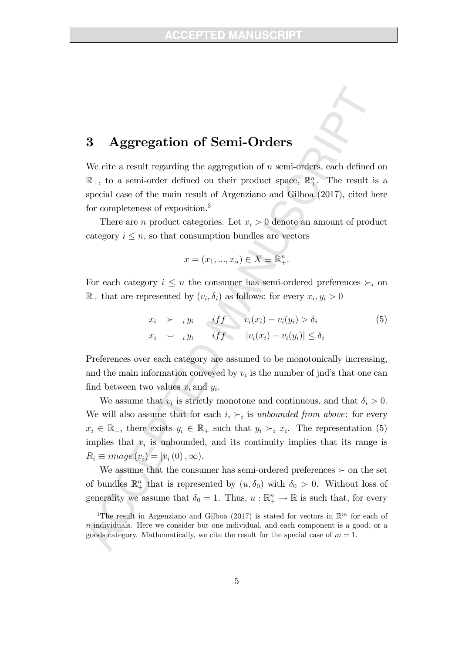## 3 Aggregation of Semi-Orders

We cite a result regarding the aggregation of  $n$  semi-orders, each defined on  $\mathbb{R}_+$ , to a semi-order defined on their product space,  $\mathbb{R}^n_+$ . The result is a special case of the main result of Argenziano and Gilboa (2017), cited here for completeness of exposition.<sup>3</sup>

There are *n* product categories. Let  $x_i > 0$  denote an amount of product category  $i \leq n$ , so that consumption bundles are vectors

$$
x = (x_1, \ldots, x_n) \in X \equiv \mathbb{R}_+^n.
$$

For each category  $i \leq n$  the consumer has semi-ordered preferences  $\succ_i$  on  $\mathbb{R}_+$  that are represented by  $(v_i, \delta_i)$  as follows: for every  $x_i, y_i > 0$ 

$$
x_i \succ_i y_i \qquad \text{if } f \qquad v_i(x_i) - v_i(y_i) > \delta_i
$$
\n
$$
x_i \sim_i y_i \qquad \text{if } f \qquad |v_i(x_i) - v_i(y_i)| \leq \delta_i
$$
\n
$$
(5)
$$

Preferences over each category are assumed to be monotonically increasing, and the main information conveyed by  $v_i$  is the number of jnd's that one can find between two values  $x_i$  and  $y_i$ .

We assume that  $v_i$  is strictly monotone and continuous, and that  $\delta_i > 0$ . We will also assume that for each  $i, \succ_i$  is unbounded from above: for every  $x_i \in \mathbb{R}_+$ , there exists  $y_i \in \mathbb{R}_+$  such that  $y_i \succ_i x_i$ . The representation (5) implies that  $v_i$  is unbounded, and its continuity implies that its range is  $R_i \equiv image(v_i) = [v_i(0),\infty).$ 

We assume that the consumer has semi-ordered preferences  $\succ$  on the set of bundles  $\mathbb{R}^n_+$  that is represented by  $(u, \delta_0)$  with  $\delta_0 > 0$ . Without loss of generality we assume that  $\delta_0 = 1$ . Thus,  $u : \mathbb{R}^n_+ \to \mathbb{R}$  is such that, for every

<sup>&</sup>lt;sup>3</sup>The result in Argenziano and Gilboa (2017) is stated for vectors in  $\mathbb{R}^m$  for each of  $n$  individuals. Here we consider but one individual, and each component is a good, or a goods category. Mathematically, we cite the result for the special case of  $m = 1$ .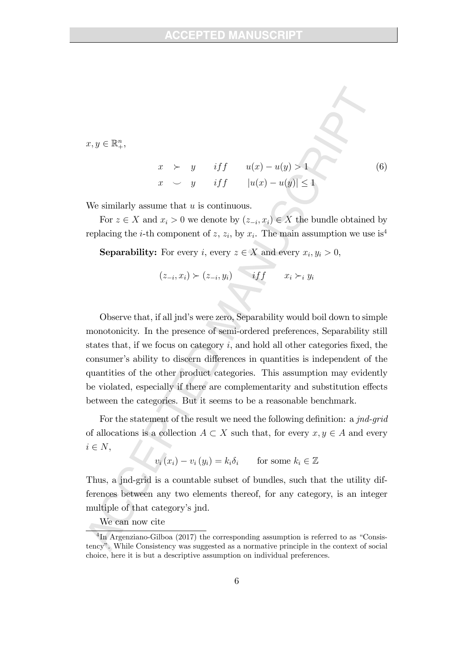$x, y \in \mathbb{R}^n_+,$ 

$$
x \rightarrow y \quad \text{if } f \quad u(x) - u(y) > 1
$$
  
\n
$$
x \rightarrow y \quad \text{if } f \quad |u(x) - u(y)| \le 1
$$
\n(6)

We similarly assume that  $u$  is continuous.

For  $z \in X$  and  $x_i > 0$  we denote by  $(z_{-i}, x_i) \in X$  the bundle obtained by replacing the *i*-th component of z,  $z_i$ , by  $x_i$ . The main assumption we use is<sup>4</sup>

**Separability:** For every *i*, every  $z \in X$  and every  $x_i, y_i > 0$ ,

$$
(z_{-i}, x_i) \succ (z_{-i}, y_i) \qquad if f \qquad x_i \succ_i y_i
$$

Observe that, if all jnd's were zero, Separability would boil down to simple monotonicity. In the presence of semi-ordered preferences, Separability still states that, if we focus on category  $i$ , and hold all other categories fixed, the consumer's ability to discern differences in quantities is independent of the quantities of the other product categories. This assumption may evidently be violated, especially if there are complementarity and substitution effects between the categories. But it seems to be a reasonable benchmark.

For the statement of the result we need the following definition: a jnd-grid of allocations is a collection  $A \subset X$  such that, for every  $x, y \in A$  and every  $i \in N$ ,

$$
v_i(x_i) - v_i(y_i) = k_i \delta_i \quad \text{for some } k_i \in \mathbb{Z}
$$

Thus, a jnd-grid is a countable subset of bundles, such that the utility differences between any two elements thereof, for any category, is an integer multiple of that category's jnd.

We can now cite

<sup>&</sup>lt;sup>4</sup>In Argenziano-Gilboa (2017) the corresponding assumption is referred to as "Consistencyî. While Consistency was suggested as a normative principle in the context of social choice, here it is but a descriptive assumption on individual preferences.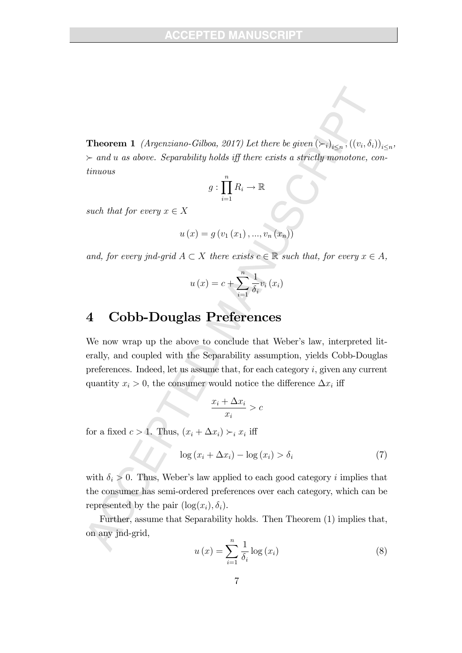**Theorem 1** (Argenziano-Gilboa, 2017) Let there be given  $(\succ_i)_{i \leq n}, ((v_i, \delta_i))_{i \leq n}$ ,  $\triangleright$  and u as above. Separability holds iff there exists a strictly monotone, continuous

$$
g: \prod_{i=1}^{n} R_i \to \mathbb{R}
$$

such that for every  $x \in X$ 

$$
u(x) = g(v_1(x_1), ..., v_n(x_n))
$$

and, for every jnd-grid  $A \subset X$  there exists  $c \in \mathbb{R}$  such that, for every  $x \in A$ ,

$$
u\left(x\right) = c + \sum_{i=1}^{n} \frac{1}{\delta_i} v_i\left(x_i\right)
$$

## 4 Cobb-Douglas Preferences

We now wrap up the above to conclude that Weber's law, interpreted literally, and coupled with the Separability assumption, yields Cobb-Douglas preferences. Indeed, let us assume that, for each category  $i$ , given any current quantity  $x_i > 0$ , the consumer would notice the difference  $\Delta x_i$  iff

$$
\frac{x_i + \Delta x_i}{x_i} > c
$$

for a fixed  $c > 1$ . Thus,  $(x_i + \Delta x_i) \succ_i x_i$  iff

$$
\log\left(x_i + \Delta x_i\right) - \log\left(x_i\right) > \delta_i\tag{7}
$$

with  $\delta_i > 0$ . Thus, Weber's law applied to each good category i implies that the consumer has semi-ordered preferences over each category, which can be represented by the pair  $(\log(x_i), \delta_i)$ .

Further, assume that Separability holds. Then Theorem (1) implies that, on any jnd-grid,

$$
u\left(x\right) = \sum_{i=1}^{n} \frac{1}{\delta_i} \log\left(x_i\right) \tag{8}
$$